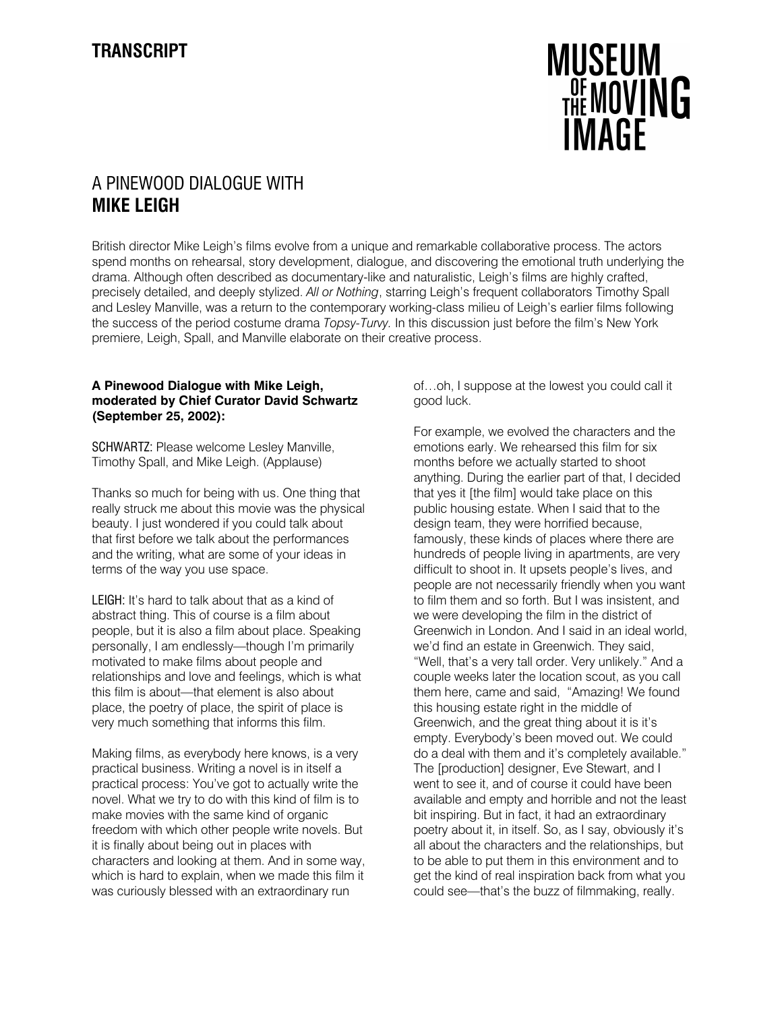

## A PINEWOOD DIALOGUE WITH MIKE LEIGH

British director Mike Leigh's films evolve from a unique and remarkable collaborative process. The actors spend months on rehearsal, story development, dialogue, and discovering the emotional truth underlying the drama. Although often described as documentary-like and naturalistic, Leigh's films are highly crafted, precisely detailed, and deeply stylized. All or Nothing, starring Leigh's frequent collaborators Timothy Spall and Lesley Manville, was a return to the contemporary working-class milieu of Leigh's earlier films following the success of the period costume drama Topsy-Turvy. In this discussion just before the film's New York premiere, Leigh, Spall, and Manville elaborate on their creative process.

## A Pinewood Dialogue with Mike Leigh, moderated by Chief Curator David Schwartz (September 25, 2002):

SCHWARTZ: Please welcome Lesley Manville, Timothy Spall, and Mike Leigh. (Applause)

Thanks so much for being with us. One thing that really struck me about this movie was the physical beauty. I just wondered if you could talk about that first before we talk about the performances and the writing, what are some of your ideas in terms of the way you use space.

LEIGH: It's hard to talk about that as a kind of abstract thing. This of course is a film about people, but it is also a film about place. Speaking personally, I am endlessly—though I'm primarily motivated to make films about people and relationships and love and feelings, which is what this film is about—that element is also about place, the poetry of place, the spirit of place is very much something that informs this film.

Making films, as everybody here knows, is a very practical business. Writing a novel is in itself a practical process: You've got to actually write the novel. What we try to do with this kind of film is to make movies with the same kind of organic freedom with which other people write novels. But it is finally about being out in places with characters and looking at them. And in some way, which is hard to explain, when we made this film it was curiously blessed with an extraordinary run

of…oh, I suppose at the lowest you could call it good luck.

For example, we evolved the characters and the emotions early. We rehearsed this film for six months before we actually started to shoot anything. During the earlier part of that, I decided that yes it [the film] would take place on this public housing estate. When I said that to the design team, they were horrified because, famously, these kinds of places where there are hundreds of people living in apartments, are very difficult to shoot in. It upsets people's lives, and people are not necessarily friendly when you want to film them and so forth. But I was insistent, and we were developing the film in the district of Greenwich in London. And I said in an ideal world, we'd find an estate in Greenwich. They said, "Well, that's a very tall order. Very unlikely." And a couple weeks later the location scout, as you call them here, came and said, "Amazing! We found this housing estate right in the middle of Greenwich, and the great thing about it is it's empty. Everybody's been moved out. We could do a deal with them and it's completely available." The [production] designer, Eve Stewart, and I went to see it, and of course it could have been available and empty and horrible and not the least bit inspiring. But in fact, it had an extraordinary poetry about it, in itself. So, as I say, obviously it's all about the characters and the relationships, but to be able to put them in this environment and to get the kind of real inspiration back from what you could see—that's the buzz of filmmaking, really.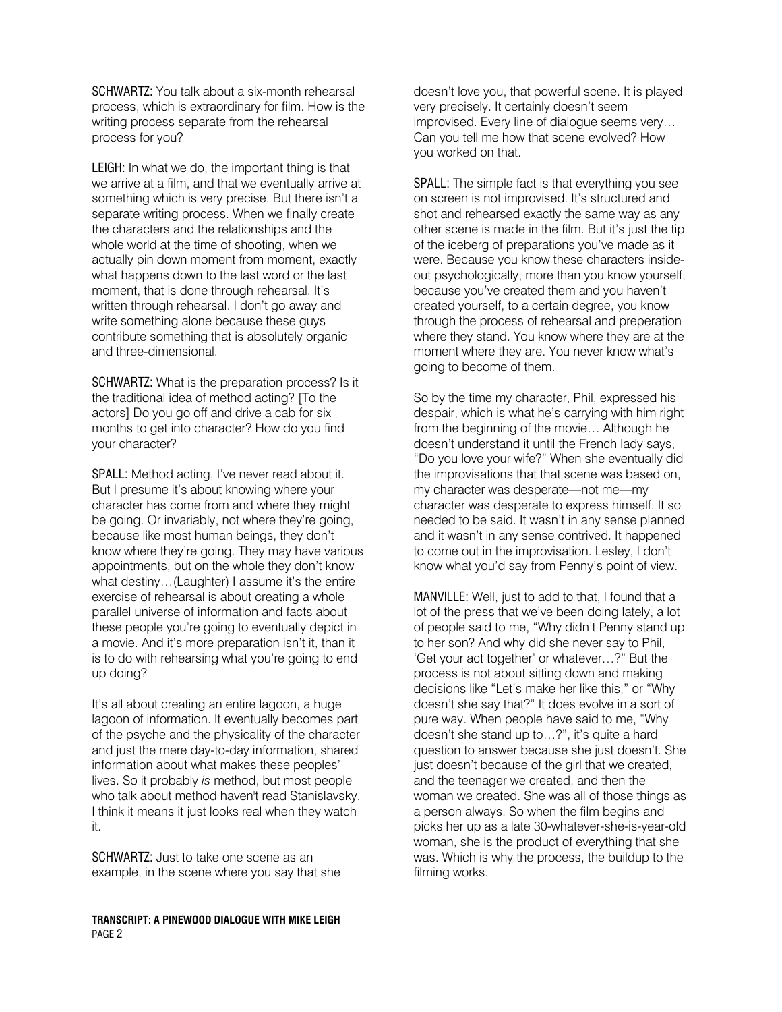SCHWARTZ: You talk about a six-month rehearsal process, which is extraordinary for film. How is the writing process separate from the rehearsal process for you?

LEIGH: In what we do, the important thing is that we arrive at a film, and that we eventually arrive at something which is very precise. But there isn't a separate writing process. When we finally create the characters and the relationships and the whole world at the time of shooting, when we actually pin down moment from moment, exactly what happens down to the last word or the last moment, that is done through rehearsal. It's written through rehearsal. I don't go away and write something alone because these guys contribute something that is absolutely organic and three-dimensional.

SCHWARTZ: What is the preparation process? Is it the traditional idea of method acting? [To the actors] Do you go off and drive a cab for six months to get into character? How do you find your character?

SPALL: Method acting, I've never read about it. But I presume it's about knowing where your character has come from and where they might be going. Or invariably, not where they're going, because like most human beings, they don't know where they're going. They may have various appointments, but on the whole they don't know what destiny…(Laughter) I assume it's the entire exercise of rehearsal is about creating a whole parallel universe of information and facts about these people you're going to eventually depict in a movie. And it's more preparation isn't it, than it is to do with rehearsing what you're going to end up doing?

It's all about creating an entire lagoon, a huge lagoon of information. It eventually becomes part of the psyche and the physicality of the character and just the mere day-to-day information, shared information about what makes these peoples' lives. So it probably is method, but most people who talk about method haven't read Stanislavsky. I think it means it just looks real when they watch it.

SCHWARTZ: Just to take one scene as an example, in the scene where you say that she

TRANSCRIPT: A PINEWOOD DIALOGUE WITH MIKE LEIGH PAGE 2

doesn't love you, that powerful scene. It is played very precisely. It certainly doesn't seem improvised. Every line of dialogue seems very… Can you tell me how that scene evolved? How you worked on that.

SPALL: The simple fact is that everything you see on screen is not improvised. It's structured and shot and rehearsed exactly the same way as any other scene is made in the film. But it's just the tip of the iceberg of preparations you've made as it were. Because you know these characters insideout psychologically, more than you know yourself, because you've created them and you haven't created yourself, to a certain degree, you know through the process of rehearsal and preperation where they stand. You know where they are at the moment where they are. You never know what's going to become of them.

So by the time my character, Phil, expressed his despair, which is what he's carrying with him right from the beginning of the movie… Although he doesn't understand it until the French lady says, "Do you love your wife?" When she eventually did the improvisations that that scene was based on, my character was desperate—not me—my character was desperate to express himself. It so needed to be said. It wasn't in any sense planned and it wasn't in any sense contrived. It happened to come out in the improvisation. Lesley, I don't know what you'd say from Penny's point of view.

MANVILLE: Well, just to add to that, I found that a lot of the press that we've been doing lately, a lot of people said to me, "Why didn't Penny stand up to her son? And why did she never say to Phil, 'Get your act together' or whatever…?" But the process is not about sitting down and making decisions like "Let's make her like this," or "Why doesn't she say that?" It does evolve in a sort of pure way. When people have said to me, "Why doesn't she stand up to…?", it's quite a hard question to answer because she just doesn't. She just doesn't because of the girl that we created, and the teenager we created, and then the woman we created. She was all of those things as a person always. So when the film begins and picks her up as a late 30-whatever-she-is-year-old woman, she is the product of everything that she was. Which is why the process, the buildup to the filming works.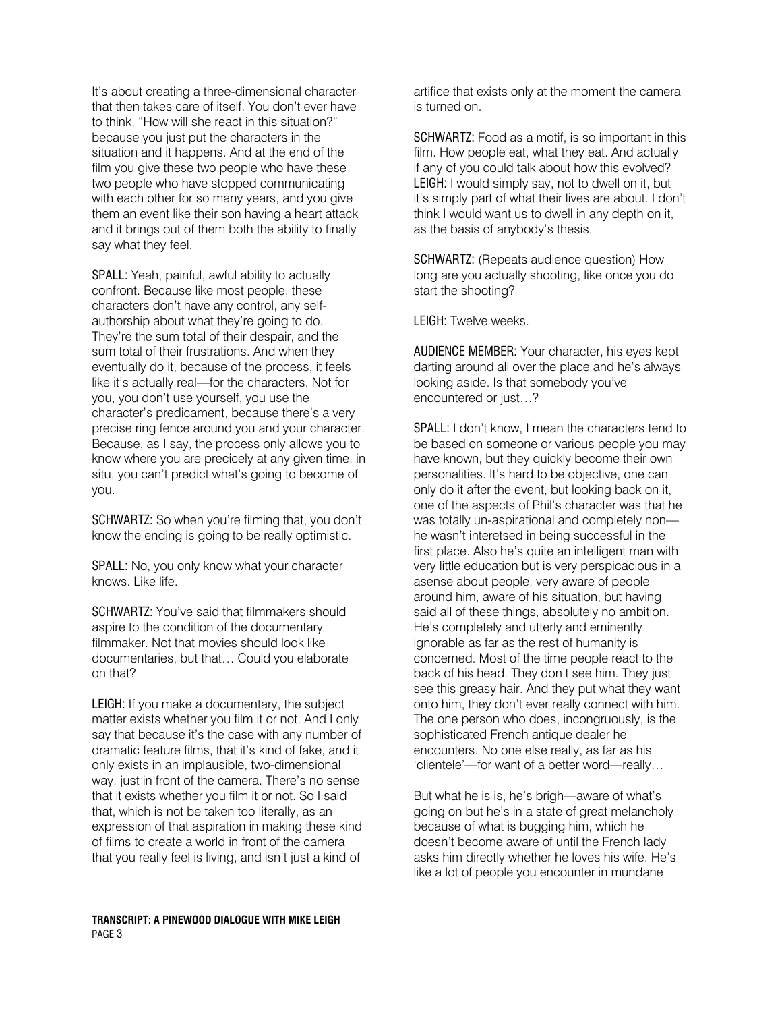It's about creating a three-dimensional character that then takes care of itself. You don't ever have to think, "How will she react in this situation?" because you just put the characters in the situation and it happens. And at the end of the film you give these two people who have these two people who have stopped communicating with each other for so many years, and you give them an event like their son having a heart attack and it brings out of them both the ability to finally say what they feel.

SPALL: Yeah, painful, awful ability to actually confront. Because like most people, these characters don't have any control, any selfauthorship about what they're going to do. They're the sum total of their despair, and the sum total of their frustrations. And when they eventually do it, because of the process, it feels like it's actually real—for the characters. Not for you, you don't use yourself, you use the character's predicament, because there's a very precise ring fence around you and your character. Because, as I say, the process only allows you to know where you are precicely at any given time, in situ, you can't predict what's going to become of you.

SCHWARTZ: So when you're filming that, you don't know the ending is going to be really optimistic.

SPALL: No, you only know what your character knows. Like life.

SCHWARTZ: You've said that filmmakers should aspire to the condition of the documentary filmmaker. Not that movies should look like documentaries, but that… Could you elaborate on that?

LEIGH: If you make a documentary, the subject matter exists whether you film it or not. And I only say that because it's the case with any number of dramatic feature films, that it's kind of fake, and it only exists in an implausible, two-dimensional way, just in front of the camera. There's no sense that it exists whether you film it or not. So I said that, which is not be taken too literally, as an expression of that aspiration in making these kind of films to create a world in front of the camera that you really feel is living, and isn't just a kind of

artifice that exists only at the moment the camera is turned on.

SCHWARTZ: Food as a motif, is so important in this film. How people eat, what they eat. And actually if any of you could talk about how this evolved? LEIGH: I would simply say, not to dwell on it, but it's simply part of what their lives are about. I don't think I would want us to dwell in any depth on it, as the basis of anybody's thesis.

SCHWARTZ: (Repeats audience question) How long are you actually shooting, like once you do start the shooting?

LEIGH: Twelve weeks.

AUDIENCE MEMBER: Your character, his eyes kept darting around all over the place and he's always looking aside. Is that somebody you've encountered or just…?

SPALL: I don't know, I mean the characters tend to be based on someone or various people you may have known, but they quickly become their own personalities. It's hard to be objective, one can only do it after the event, but looking back on it, one of the aspects of Phil's character was that he was totally un-aspirational and completely non he wasn't interetsed in being successful in the first place. Also he's quite an intelligent man with very little education but is very perspicacious in a asense about people, very aware of people around him, aware of his situation, but having said all of these things, absolutely no ambition. He's completely and utterly and eminently ignorable as far as the rest of humanity is concerned. Most of the time people react to the back of his head. They don't see him. They just see this greasy hair. And they put what they want onto him, they don't ever really connect with him. The one person who does, incongruously, is the sophisticated French antique dealer he encounters. No one else really, as far as his 'clientele'—for want of a better word—really…

But what he is is, he's brigh—aware of what's going on but he's in a state of great melancholy because of what is bugging him, which he doesn't become aware of until the French lady asks him directly whether he loves his wife. He's like a lot of people you encounter in mundane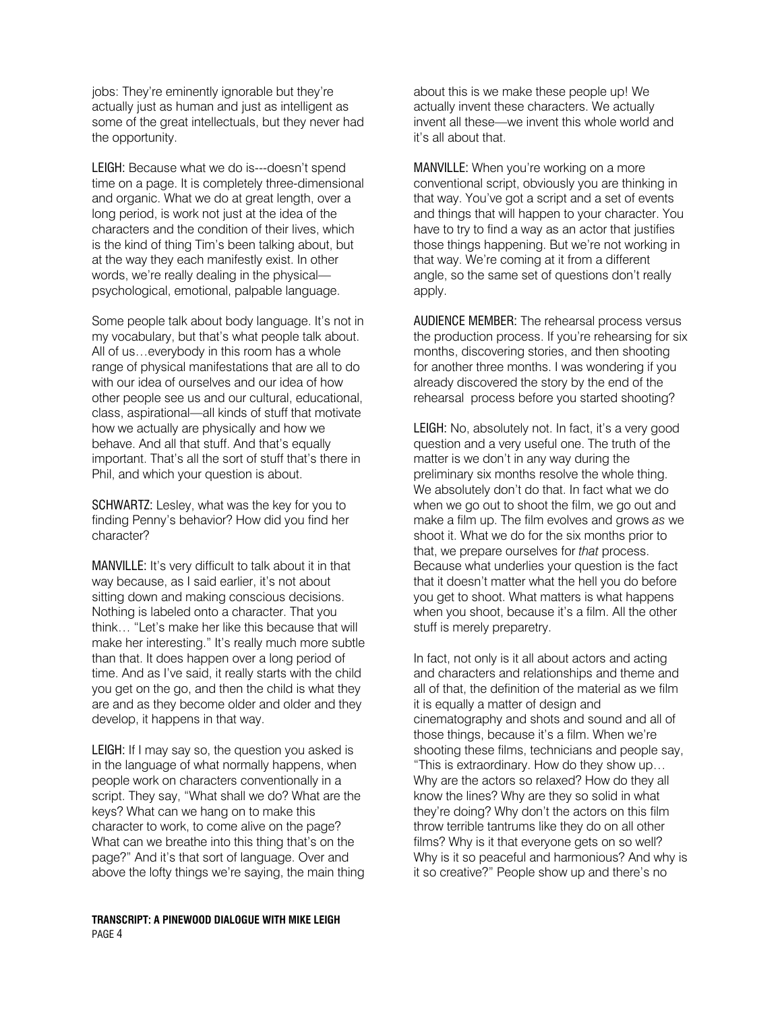jobs: They're eminently ignorable but they're actually just as human and just as intelligent as some of the great intellectuals, but they never had the opportunity.

LEIGH: Because what we do is---doesn't spend time on a page. It is completely three-dimensional and organic. What we do at great length, over a long period, is work not just at the idea of the characters and the condition of their lives, which is the kind of thing Tim's been talking about, but at the way they each manifestly exist. In other words, we're really dealing in the physical psychological, emotional, palpable language.

Some people talk about body language. It's not in my vocabulary, but that's what people talk about. All of us…everybody in this room has a whole range of physical manifestations that are all to do with our idea of ourselves and our idea of how other people see us and our cultural, educational, class, aspirational—all kinds of stuff that motivate how we actually are physically and how we behave. And all that stuff. And that's equally important. That's all the sort of stuff that's there in Phil, and which your question is about.

SCHWARTZ: Lesley, what was the key for you to finding Penny's behavior? How did you find her character?

MANVILLE: It's very difficult to talk about it in that way because, as I said earlier, it's not about sitting down and making conscious decisions. Nothing is labeled onto a character. That you think… "Let's make her like this because that will make her interesting." It's really much more subtle than that. It does happen over a long period of time. And as I've said, it really starts with the child you get on the go, and then the child is what they are and as they become older and older and they develop, it happens in that way.

LEIGH: If I may say so, the question you asked is in the language of what normally happens, when people work on characters conventionally in a script. They say, "What shall we do? What are the keys? What can we hang on to make this character to work, to come alive on the page? What can we breathe into this thing that's on the page?" And it's that sort of language. Over and above the lofty things we're saying, the main thing

## TRANSCRIPT: A PINEWOOD DIALOGUE WITH MIKE LEIGH PAGE 4

about this is we make these people up! We actually invent these characters. We actually invent all these—we invent this whole world and it's all about that.

MANVILLE: When you're working on a more conventional script, obviously you are thinking in that way. You've got a script and a set of events and things that will happen to your character. You have to try to find a way as an actor that justifies those things happening. But we're not working in that way. We're coming at it from a different angle, so the same set of questions don't really apply.

AUDIENCE MEMBER: The rehearsal process versus the production process. If you're rehearsing for six months, discovering stories, and then shooting for another three months. I was wondering if you already discovered the story by the end of the rehearsal process before you started shooting?

LEIGH: No, absolutely not. In fact, it's a very good question and a very useful one. The truth of the matter is we don't in any way during the preliminary six months resolve the whole thing. We absolutely don't do that. In fact what we do when we go out to shoot the film, we go out and make a film up. The film evolves and grows as we shoot it. What we do for the six months prior to that, we prepare ourselves for that process. Because what underlies your question is the fact that it doesn't matter what the hell you do before you get to shoot. What matters is what happens when you shoot, because it's a film. All the other stuff is merely preparetry.

In fact, not only is it all about actors and acting and characters and relationships and theme and all of that, the definition of the material as we film it is equally a matter of design and cinematography and shots and sound and all of those things, because it's a film. When we're shooting these films, technicians and people say, "This is extraordinary. How do they show up… Why are the actors so relaxed? How do they all know the lines? Why are they so solid in what they're doing? Why don't the actors on this film throw terrible tantrums like they do on all other films? Why is it that everyone gets on so well? Why is it so peaceful and harmonious? And why is it so creative?" People show up and there's no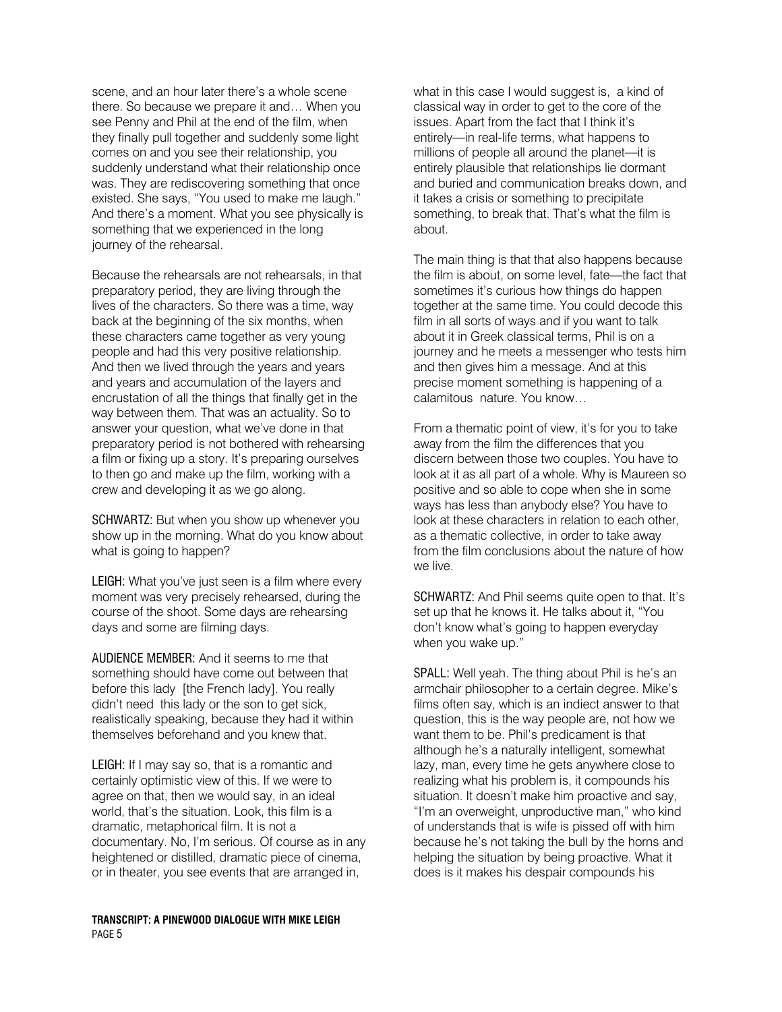scene, and an hour later there's a whole scene there. So because we prepare it and… When you see Penny and Phil at the end of the film, when they finally pull together and suddenly some light comes on and you see their relationship, you suddenly understand what their relationship once was. They are rediscovering something that once existed. She says, "You used to make me laugh." And there's a moment. What you see physically is something that we experienced in the long journey of the rehearsal.

Because the rehearsals are not rehearsals, in that preparatory period, they are living through the lives of the characters. So there was a time, way back at the beginning of the six months, when these characters came together as very young people and had this very positive relationship. And then we lived through the years and years and years and accumulation of the layers and encrustation of all the things that finally get in the way between them. That was an actuality. So to answer your question, what we've done in that preparatory period is not bothered with rehearsing a film or fixing up a story. It's preparing ourselves to then go and make up the film, working with a crew and developing it as we go along.

SCHWARTZ: But when you show up whenever you show up in the morning. What do you know about what is going to happen?

LEIGH: What you've just seen is a film where every moment was very precisely rehearsed, during the course of the shoot. Some days are rehearsing days and some are filming days.

AUDIENCE MEMBER: And it seems to me that something should have come out between that before this lady [the French lady]. You really didn't need this lady or the son to get sick, realistically speaking, because they had it within themselves beforehand and you knew that.

LEIGH: If I may say so, that is a romantic and certainly optimistic view of this. If we were to agree on that, then we would say, in an ideal world, that's the situation. Look, this film is a dramatic, metaphorical film. It is not a documentary. No, I'm serious. Of course as in any heightened or distilled, dramatic piece of cinema, or in theater, you see events that are arranged in,

TRANSCRIPT: A PINEWOOD DIALOGUE WITH MIKE LEIGH PAGE 5

what in this case I would suggest is, a kind of classical way in order to get to the core of the issues. Apart from the fact that I think it's entirely—in real-life terms, what happens to millions of people all around the planet—it is entirely plausible that relationships lie dormant and buried and communication breaks down, and it takes a crisis or something to precipitate something, to break that. That's what the film is about.

The main thing is that that also happens because the film is about, on some level, fate—the fact that sometimes it's curious how things do happen together at the same time. You could decode this film in all sorts of ways and if you want to talk about it in Greek classical terms, Phil is on a journey and he meets a messenger who tests him and then gives him a message. And at this precise moment something is happening of a calamitous nature. You know…

From a thematic point of view, it's for you to take away from the film the differences that you discern between those two couples. You have to look at it as all part of a whole. Why is Maureen so positive and so able to cope when she in some ways has less than anybody else? You have to look at these characters in relation to each other, as a thematic collective, in order to take away from the film conclusions about the nature of how we live.

SCHWARTZ: And Phil seems quite open to that. It's set up that he knows it. He talks about it, "You don't know what's going to happen everyday when you wake up."

SPALL: Well yeah. The thing about Phil is he's an armchair philosopher to a certain degree. Mike's films often say, which is an indiect answer to that question, this is the way people are, not how we want them to be. Phil's predicament is that although he's a naturally intelligent, somewhat lazy, man, every time he gets anywhere close to realizing what his problem is, it compounds his situation. It doesn't make him proactive and say, "I'm an overweight, unproductive man," who kind of understands that is wife is pissed off with him because he's not taking the bull by the horns and helping the situation by being proactive. What it does is it makes his despair compounds his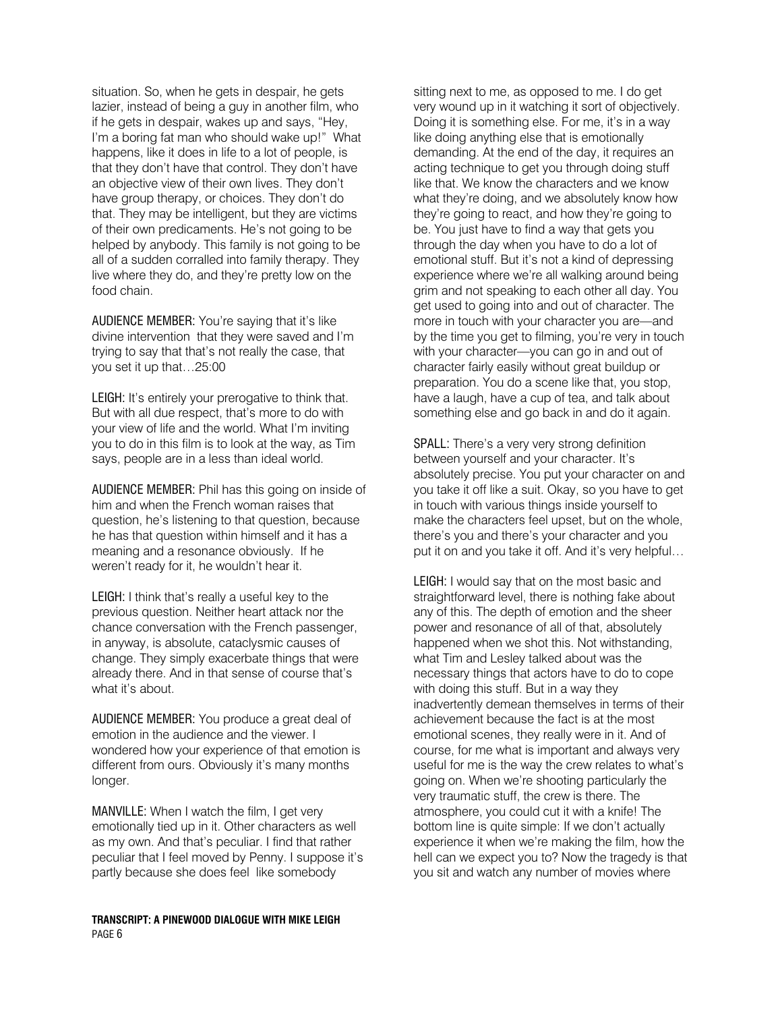situation. So, when he gets in despair, he gets lazier, instead of being a guy in another film, who if he gets in despair, wakes up and says, "Hey, I'm a boring fat man who should wake up!" What happens, like it does in life to a lot of people, is that they don't have that control. They don't have an objective view of their own lives. They don't have group therapy, or choices. They don't do that. They may be intelligent, but they are victims of their own predicaments. He's not going to be helped by anybody. This family is not going to be all of a sudden corralled into family therapy. They live where they do, and they're pretty low on the food chain.

AUDIENCE MEMBER: You're saying that it's like divine intervention that they were saved and I'm trying to say that that's not really the case, that you set it up that…25:00

LEIGH: It's entirely your prerogative to think that. But with all due respect, that's more to do with your view of life and the world. What I'm inviting you to do in this film is to look at the way, as Tim says, people are in a less than ideal world.

AUDIENCE MEMBER: Phil has this going on inside of him and when the French woman raises that question, he's listening to that question, because he has that question within himself and it has a meaning and a resonance obviously. If he weren't ready for it, he wouldn't hear it.

LEIGH: I think that's really a useful key to the previous question. Neither heart attack nor the chance conversation with the French passenger, in anyway, is absolute, cataclysmic causes of change. They simply exacerbate things that were already there. And in that sense of course that's what it's about.

AUDIENCE MEMBER: You produce a great deal of emotion in the audience and the viewer. I wondered how your experience of that emotion is different from ours. Obviously it's many months longer.

MANVILLE: When I watch the film, I get very emotionally tied up in it. Other characters as well as my own. And that's peculiar. I find that rather peculiar that I feel moved by Penny. I suppose it's partly because she does feel like somebody

TRANSCRIPT: A PINEWOOD DIALOGUE WITH MIKE LEIGH PAGE 6

sitting next to me, as opposed to me. I do get very wound up in it watching it sort of objectively. Doing it is something else. For me, it's in a way like doing anything else that is emotionally demanding. At the end of the day, it requires an acting technique to get you through doing stuff like that. We know the characters and we know what they're doing, and we absolutely know how they're going to react, and how they're going to be. You just have to find a way that gets you through the day when you have to do a lot of emotional stuff. But it's not a kind of depressing experience where we're all walking around being grim and not speaking to each other all day. You get used to going into and out of character. The more in touch with your character you are—and by the time you get to filming, you're very in touch with your character—you can go in and out of character fairly easily without great buildup or preparation. You do a scene like that, you stop, have a laugh, have a cup of tea, and talk about something else and go back in and do it again.

SPALL: There's a very very strong definition between yourself and your character. It's absolutely precise. You put your character on and you take it off like a suit. Okay, so you have to get in touch with various things inside yourself to make the characters feel upset, but on the whole, there's you and there's your character and you put it on and you take it off. And it's very helpful…

LEIGH: I would say that on the most basic and straightforward level, there is nothing fake about any of this. The depth of emotion and the sheer power and resonance of all of that, absolutely happened when we shot this. Not withstanding, what Tim and Lesley talked about was the necessary things that actors have to do to cope with doing this stuff. But in a way they inadvertently demean themselves in terms of their achievement because the fact is at the most emotional scenes, they really were in it. And of course, for me what is important and always very useful for me is the way the crew relates to what's going on. When we're shooting particularly the very traumatic stuff, the crew is there. The atmosphere, you could cut it with a knife! The bottom line is quite simple: If we don't actually experience it when we're making the film, how the hell can we expect you to? Now the tragedy is that you sit and watch any number of movies where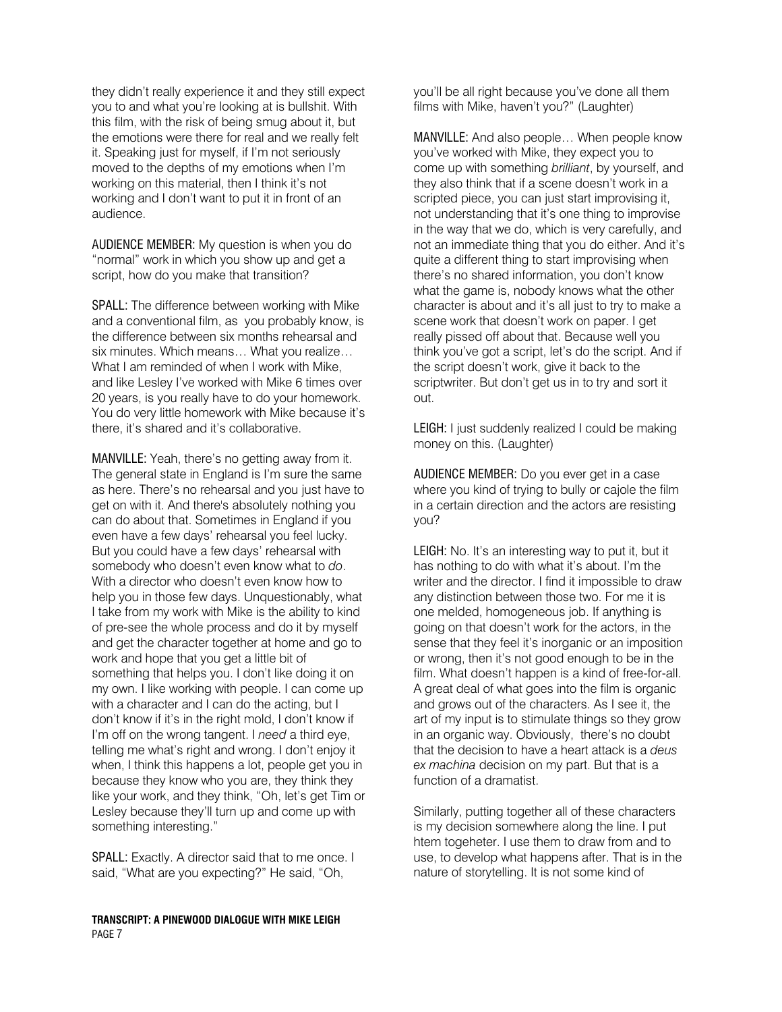they didn't really experience it and they still expect you to and what you're looking at is bullshit. With this film, with the risk of being smug about it, but the emotions were there for real and we really felt it. Speaking just for myself, if I'm not seriously moved to the depths of my emotions when I'm working on this material, then I think it's not working and I don't want to put it in front of an audience.

AUDIENCE MEMBER: My question is when you do "normal" work in which you show up and get a script, how do you make that transition?

SPALL: The difference between working with Mike and a conventional film, as you probably know, is the difference between six months rehearsal and six minutes. Which means… What you realize… What I am reminded of when I work with Mike, and like Lesley I've worked with Mike 6 times over 20 years, is you really have to do your homework. You do very little homework with Mike because it's there, it's shared and it's collaborative.

MANVILLE: Yeah, there's no getting away from it. The general state in England is I'm sure the same as here. There's no rehearsal and you just have to get on with it. And there's absolutely nothing you can do about that. Sometimes in England if you even have a few days' rehearsal you feel lucky. But you could have a few days' rehearsal with somebody who doesn't even know what to do. With a director who doesn't even know how to help you in those few days. Unquestionably, what I take from my work with Mike is the ability to kind of pre-see the whole process and do it by myself and get the character together at home and go to work and hope that you get a little bit of something that helps you. I don't like doing it on my own. I like working with people. I can come up with a character and I can do the acting, but I don't know if it's in the right mold, I don't know if I'm off on the wrong tangent. I need a third eye, telling me what's right and wrong. I don't enjoy it when, I think this happens a lot, people get you in because they know who you are, they think they like your work, and they think, "Oh, let's get Tim or Lesley because they'll turn up and come up with something interesting."

SPALL: Exactly. A director said that to me once. I said, "What are you expecting?" He said, "Oh,

TRANSCRIPT: A PINEWOOD DIALOGUE WITH MIKE LEIGH PAGE 7

you'll be all right because you've done all them films with Mike, haven't you?" (Laughter)

MANVILLE: And also people… When people know you've worked with Mike, they expect you to come up with something brilliant, by yourself, and they also think that if a scene doesn't work in a scripted piece, you can just start improvising it. not understanding that it's one thing to improvise in the way that we do, which is very carefully, and not an immediate thing that you do either. And it's quite a different thing to start improvising when there's no shared information, you don't know what the game is, nobody knows what the other character is about and it's all just to try to make a scene work that doesn't work on paper. I get really pissed off about that. Because well you think you've got a script, let's do the script. And if the script doesn't work, give it back to the scriptwriter. But don't get us in to try and sort it out.

LEIGH: I just suddenly realized I could be making money on this. (Laughter)

AUDIENCE MEMBER: Do you ever get in a case where you kind of trying to bully or cajole the film in a certain direction and the actors are resisting you?

LEIGH: No. It's an interesting way to put it, but it has nothing to do with what it's about. I'm the writer and the director. I find it impossible to draw any distinction between those two. For me it is one melded, homogeneous job. If anything is going on that doesn't work for the actors, in the sense that they feel it's inorganic or an imposition or wrong, then it's not good enough to be in the film. What doesn't happen is a kind of free-for-all. A great deal of what goes into the film is organic and grows out of the characters. As I see it, the art of my input is to stimulate things so they grow in an organic way. Obviously, there's no doubt that the decision to have a heart attack is a deus ex machina decision on my part. But that is a function of a dramatist.

Similarly, putting together all of these characters is my decision somewhere along the line. I put htem togeheter. I use them to draw from and to use, to develop what happens after. That is in the nature of storytelling. It is not some kind of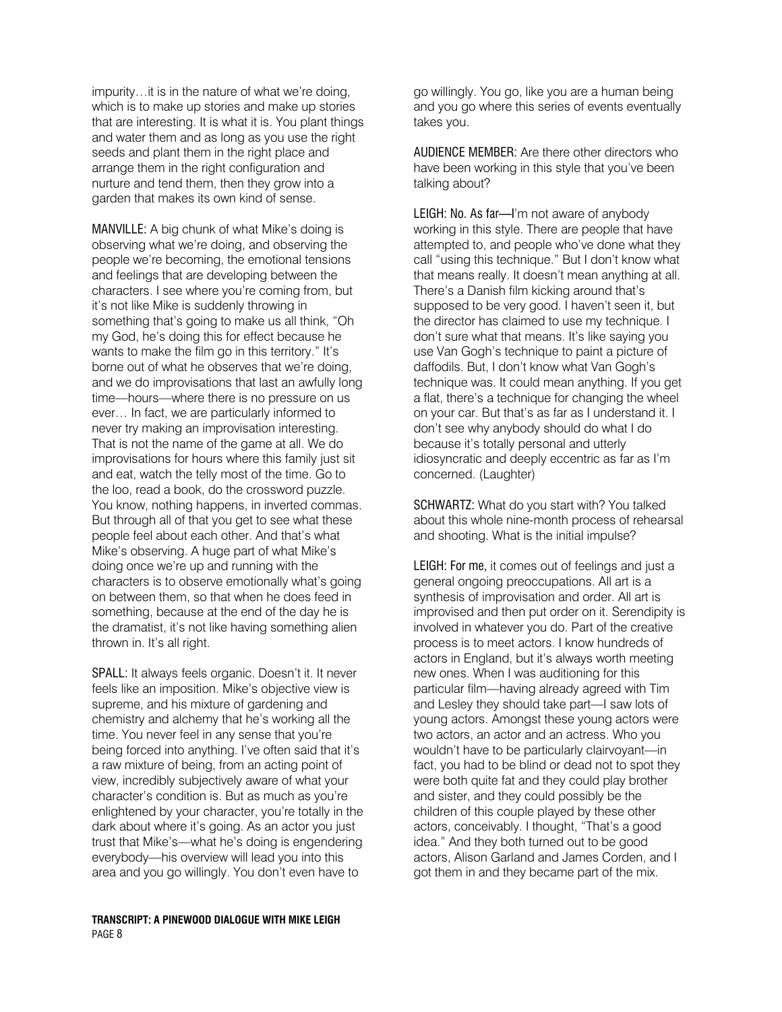impurity…it is in the nature of what we're doing, which is to make up stories and make up stories that are interesting. It is what it is. You plant things and water them and as long as you use the right seeds and plant them in the right place and arrange them in the right configuration and nurture and tend them, then they grow into a garden that makes its own kind of sense.

MANVILLE: A big chunk of what Mike's doing is observing what we're doing, and observing the people we're becoming, the emotional tensions and feelings that are developing between the characters. I see where you're coming from, but it's not like Mike is suddenly throwing in something that's going to make us all think, "Oh my God, he's doing this for effect because he wants to make the film go in this territory." It's borne out of what he observes that we're doing, and we do improvisations that last an awfully long time—hours—where there is no pressure on us ever… In fact, we are particularly informed to never try making an improvisation interesting. That is not the name of the game at all. We do improvisations for hours where this family just sit and eat, watch the telly most of the time. Go to the loo, read a book, do the crossword puzzle. You know, nothing happens, in inverted commas. But through all of that you get to see what these people feel about each other. And that's what Mike's observing. A huge part of what Mike's doing once we're up and running with the characters is to observe emotionally what's going on between them, so that when he does feed in something, because at the end of the day he is the dramatist, it's not like having something alien thrown in. It's all right.

SPALL: It always feels organic. Doesn't it. It never feels like an imposition. Mike's objective view is supreme, and his mixture of gardening and chemistry and alchemy that he's working all the time. You never feel in any sense that you're being forced into anything. I've often said that it's a raw mixture of being, from an acting point of view, incredibly subjectively aware of what your character's condition is. But as much as you're enlightened by your character, you're totally in the dark about where it's going. As an actor you just trust that Mike's—what he's doing is engendering everybody—his overview will lead you into this area and you go willingly. You don't even have to

go willingly. You go, like you are a human being and you go where this series of events eventually takes you.

AUDIENCE MEMBER: Are there other directors who have been working in this style that you've been talking about?

LEIGH: No. As far—I'm not aware of anybody working in this style. There are people that have attempted to, and people who've done what they call "using this technique." But I don't know what that means really. It doesn't mean anything at all. There's a Danish film kicking around that's supposed to be very good. I haven't seen it, but the director has claimed to use my technique. I don't sure what that means. It's like saying you use Van Gogh's technique to paint a picture of daffodils. But, I don't know what Van Gogh's technique was. It could mean anything. If you get a flat, there's a technique for changing the wheel on your car. But that's as far as I understand it. I don't see why anybody should do what I do because it's totally personal and utterly idiosyncratic and deeply eccentric as far as I'm concerned. (Laughter)

SCHWARTZ: What do you start with? You talked about this whole nine-month process of rehearsal and shooting. What is the initial impulse?

LEIGH: For me, it comes out of feelings and just a general ongoing preoccupations. All art is a synthesis of improvisation and order. All art is improvised and then put order on it. Serendipity is involved in whatever you do. Part of the creative process is to meet actors. I know hundreds of actors in England, but it's always worth meeting new ones. When I was auditioning for this particular film—having already agreed with Tim and Lesley they should take part—I saw lots of young actors. Amongst these young actors were two actors, an actor and an actress. Who you wouldn't have to be particularly clairvoyant—in fact, you had to be blind or dead not to spot they were both quite fat and they could play brother and sister, and they could possibly be the children of this couple played by these other actors, conceivably. I thought, "That's a good idea." And they both turned out to be good actors, Alison Garland and James Corden, and I got them in and they became part of the mix.